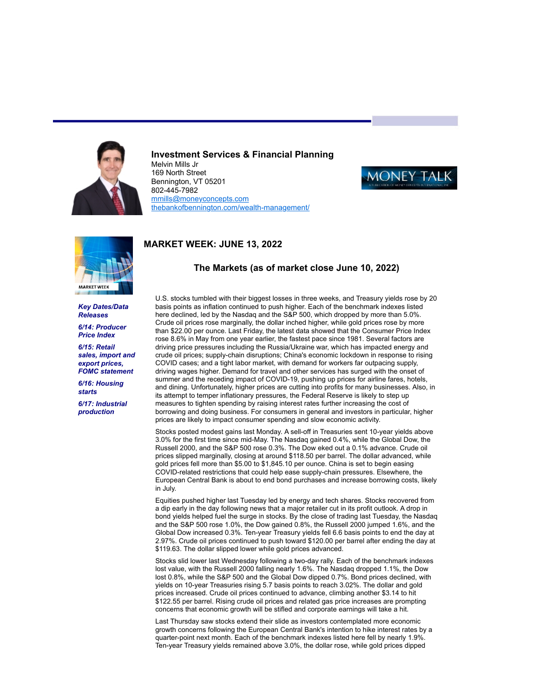

## **Investment Services & Financial Planning**

Melvin Mills Jr 169 North Street Bennington, VT 05201 802-445-7982 [mmills@moneyconcepts.com](mailto:mmills@moneyconcepts.com) [thebankofbennington.com/wealth-management/](http://thebankofbennington.com/wealth-management/)



# **MARKET WEEK: JUNE 13, 2022**



*Key Dates/Data Releases*

*6/14: Producer Price Index*

*6/15: Retail sales, import and export prices, FOMC statement*

*6/16: Housing starts 6/17: Industrial*

*production*

## **The Markets (as of market close June 10, 2022)**

U.S. stocks tumbled with their biggest losses in three weeks, and Treasury yields rose by 20 basis points as inflation continued to push higher. Each of the benchmark indexes listed here declined, led by the Nasdaq and the S&P 500, which dropped by more than 5.0%. Crude oil prices rose marginally, the dollar inched higher, while gold prices rose by more than \$22.00 per ounce. Last Friday, the latest data showed that the Consumer Price Index rose 8.6% in May from one year earlier, the fastest pace since 1981. Several factors are driving price pressures including the Russia/Ukraine war, which has impacted energy and crude oil prices; supply-chain disruptions; China's economic lockdown in response to rising COVID cases; and a tight labor market, with demand for workers far outpacing supply, driving wages higher. Demand for travel and other services has surged with the onset of summer and the receding impact of COVID-19, pushing up prices for airline fares, hotels, and dining. Unfortunately, higher prices are cutting into profits for many businesses. Also, in its attempt to temper inflationary pressures, the Federal Reserve is likely to step up measures to tighten spending by raising interest rates further increasing the cost of borrowing and doing business. For consumers in general and investors in particular, higher prices are likely to impact consumer spending and slow economic activity.

Stocks posted modest gains last Monday. A sell-off in Treasuries sent 10-year yields above 3.0% for the first time since mid-May. The Nasdaq gained 0.4%, while the Global Dow, the Russell 2000, and the S&P 500 rose 0.3%. The Dow eked out a 0.1% advance. Crude oil prices slipped marginally, closing at around \$118.50 per barrel. The dollar advanced, while gold prices fell more than \$5.00 to \$1,845.10 per ounce. China is set to begin easing COVID-related restrictions that could help ease supply-chain pressures. Elsewhere, the European Central Bank is about to end bond purchases and increase borrowing costs, likely in July.

Equities pushed higher last Tuesday led by energy and tech shares. Stocks recovered from a dip early in the day following news that a major retailer cut in its profit outlook. A drop in bond yields helped fuel the surge in stocks. By the close of trading last Tuesday, the Nasdaq and the S&P 500 rose 1.0%, the Dow gained 0.8%, the Russell 2000 jumped 1.6%, and the Global Dow increased 0.3%. Ten-year Treasury yields fell 6.6 basis points to end the day at 2.97%. Crude oil prices continued to push toward \$120.00 per barrel after ending the day at \$119.63. The dollar slipped lower while gold prices advanced.

Stocks slid lower last Wednesday following a two-day rally. Each of the benchmark indexes lost value, with the Russell 2000 falling nearly 1.6%. The Nasdaq dropped 1.1%, the Dow lost 0.8%, while the S&P 500 and the Global Dow dipped 0.7%. Bond prices declined, with yields on 10-year Treasuries rising 5.7 basis points to reach 3.02%. The dollar and gold prices increased. Crude oil prices continued to advance, climbing another \$3.14 to hit \$122.55 per barrel. Rising crude oil prices and related gas price increases are prompting concerns that economic growth will be stifled and corporate earnings will take a hit.

Last Thursday saw stocks extend their slide as investors contemplated more economic growth concerns following the European Central Bank's intention to hike interest rates by a quarter-point next month. Each of the benchmark indexes listed here fell by nearly 1.9%. Ten-year Treasury yields remained above 3.0%, the dollar rose, while gold prices dipped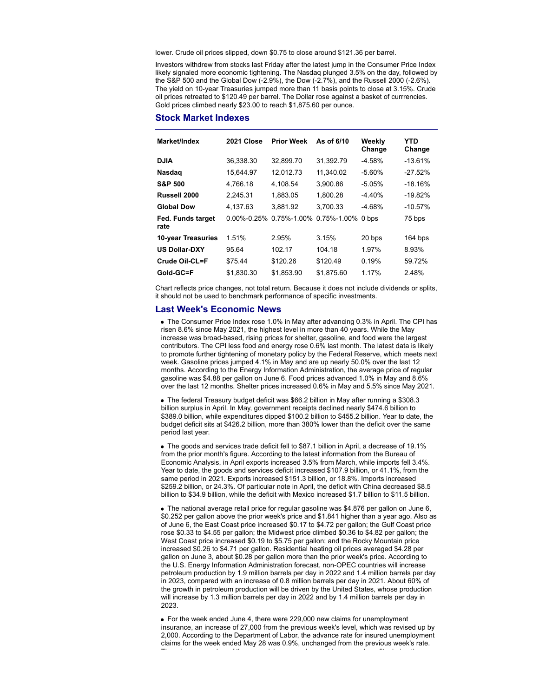lower. Crude oil prices slipped, down \$0.75 to close around \$121.36 per barrel.

Investors withdrew from stocks last Friday after the latest jump in the Consumer Price Index likely signaled more economic tightening. The Nasdaq plunged 3.5% on the day, followed by the S&P 500 and the Global Dow (-2.9%), the Dow (-2.7%), and the Russell 2000 (-2.6%). The yield on 10-year Treasuries jumped more than 11 basis points to close at 3.15%. Crude oil prices retreated to \$120.49 per barrel. The Dollar rose against a basket of currrencies. Gold prices climbed nearly \$23.00 to reach \$1,875.60 per ounce.

#### **Stock Market Indexes**

| Market/Index              | 2021 Close        | <b>Prior Week</b> | As of 6/10  | Weekly<br>Change | YTD<br>Change |
|---------------------------|-------------------|-------------------|-------------|------------------|---------------|
| <b>DJIA</b>               | 36,338.30         | 32,899.70         | 31,392.79   | $-4.58%$         | $-13.61%$     |
| <b>Nasdag</b>             | 15.644.97         | 12.012.73         | 11.340.02   | $-5.60%$         | $-27.52%$     |
| <b>S&amp;P 500</b>        | 4.766.18          | 4.108.54          | 3,900.86    | $-5.05%$         | $-18.16%$     |
| Russell 2000              | 2,245.31          | 1.883.05          | 1.800.28    | $-4.40%$         | $-19.82%$     |
| <b>Global Dow</b>         | 4,137.63          | 3.881.92          | 3.700.33    | $-4.68%$         | $-10.57%$     |
| Fed. Funds target<br>rate | $0.00\% - 0.25\%$ | 0.75%-1.00%       | 0.75%-1.00% | 0 bps            | 75 bps        |
| 10-year Treasuries        | 1.51%             | 2.95%             | 3.15%       | 20 bps           | 164 bps       |
| <b>US Dollar-DXY</b>      | 95.64             | 102.17            | 104.18      | 1.97%            | 8.93%         |
| Crude Oil-CL=F            | \$75.44           | \$120.26          | \$120.49    | 0.19%            | 59.72%        |
| Gold-GC=F                 | \$1,830.30        | \$1,853.90        | \$1,875.60  | 1.17%            | 2.48%         |

Chart reflects price changes, not total return. Because it does not include dividends or splits, it should not be used to benchmark performance of specific investments.

#### **Last Week's Economic News**

The Consumer Price Index rose 1.0% in May after advancing 0.3% in April. The CPI has risen 8.6% since May 2021, the highest level in more than 40 years. While the May increase was broad-based, rising prices for shelter, gasoline, and food were the largest contributors. The CPI less food and energy rose 0.6% last month. The latest data is likely to promote further tightening of monetary policy by the Federal Reserve, which meets next week. Gasoline prices jumped 4.1% in May and are up nearly 50.0% over the last 12 months. According to the Energy Information Administration, the average price of regular gasoline was \$4.88 per gallon on June 6. Food prices advanced 1.0% in May and 8.6% over the last 12 months. Shelter prices increased 0.6% in May and 5.5% since May 2021.

The federal Treasury budget deficit was \$66.2 billion in May after running a \$308.3 billion surplus in April. In May, government receipts declined nearly \$474.6 billion to \$389.0 billion, while expenditures dipped \$100.2 billion to \$455.2 billion. Year to date, the budget deficit sits at \$426.2 billion, more than 380% lower than the deficit over the same period last year.

The goods and services trade deficit fell to \$87.1 billion in April, a decrease of 19.1% from the prior month's figure. According to the latest information from the Bureau of Economic Analysis, in April exports increased 3.5% from March, while imports fell 3.4%. Year to date, the goods and services deficit increased \$107.9 billion, or 41.1%, from the same period in 2021. Exports increased \$151.3 billion, or 18.8%. Imports increased \$259.2 billion, or 24.3%. Of particular note in April, the deficit with China decreased \$8.5 billion to \$34.9 billion, while the deficit with Mexico increased \$1.7 billion to \$11.5 billion.

The national average retail price for regular gasoline was \$4.876 per gallon on June 6, \$0.252 per gallon above the prior week's price and \$1.841 higher than a year ago. Also as of June 6, the East Coast price increased \$0.17 to \$4.72 per gallon; the Gulf Coast price rose \$0.33 to \$4.55 per gallon; the Midwest price climbed \$0.36 to \$4.82 per gallon; the West Coast price increased \$0.19 to \$5.75 per gallon; and the Rocky Mountain price increased \$0.26 to \$4.71 per gallon. Residential heating oil prices averaged \$4.28 per gallon on June 3, about \$0.28 per gallon more than the prior week's price. According to the U.S. Energy Information Administration forecast, non-OPEC countries will increase petroleum production by 1.9 million barrels per day in 2022 and 1.4 million barrels per day in 2023, compared with an increase of 0.8 million barrels per day in 2021. About 60% of the growth in petroleum production will be driven by the United States, whose production will increase by 1.3 million barrels per day in 2022 and by 1.4 million barrels per day in 2023.

For the week ended June 4, there were 229,000 new claims for unemployment insurance, an increase of 27,000 from the previous week's level, which was revised up by 2,000. According to the Department of Labor, the advance rate for insured unemployment claims for the week ended May 28 was 0.9%, unchanged from the previous week's rate. The advance number of those receiving unemployment insurance benefits during the